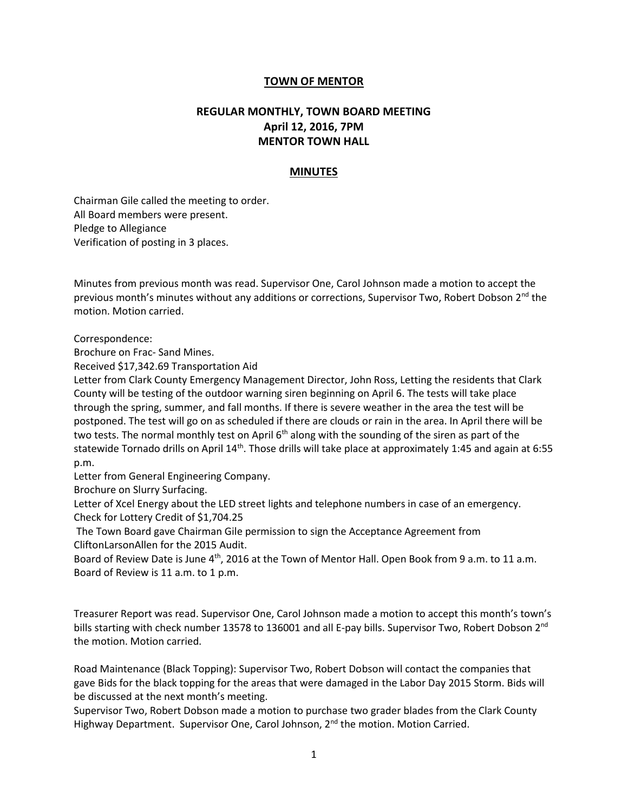## **TOWN OF MENTOR**

## **REGULAR MONTHLY, TOWN BOARD MEETING April 12, 2016, 7PM MENTOR TOWN HALL**

## **MINUTES**

Chairman Gile called the meeting to order. All Board members were present. Pledge to Allegiance Verification of posting in 3 places.

Minutes from previous month was read. Supervisor One, Carol Johnson made a motion to accept the previous month's minutes without any additions or corrections, Supervisor Two, Robert Dobson 2<sup>nd</sup> the motion. Motion carried.

Correspondence:

Brochure on Frac- Sand Mines.

Received \$17,342.69 Transportation Aid

Letter from Clark County Emergency Management Director, John Ross, Letting the residents that Clark County will be testing of the outdoor warning siren beginning on April 6. The tests will take place through the spring, summer, and fall months. If there is severe weather in the area the test will be postponed. The test will go on as scheduled if there are clouds or rain in the area. In April there will be two tests. The normal monthly test on April  $6<sup>th</sup>$  along with the sounding of the siren as part of the statewide Tornado drills on April  $14<sup>th</sup>$ . Those drills will take place at approximately 1:45 and again at 6:55 p.m.

Letter from General Engineering Company.

Brochure on Slurry Surfacing.

Letter of Xcel Energy about the LED street lights and telephone numbers in case of an emergency. Check for Lottery Credit of \$1,704.25

The Town Board gave Chairman Gile permission to sign the Acceptance Agreement from CliftonLarsonAllen for the 2015 Audit.

Board of Review Date is June 4<sup>th</sup>, 2016 at the Town of Mentor Hall. Open Book from 9 a.m. to 11 a.m. Board of Review is 11 a.m. to 1 p.m.

Treasurer Report was read. Supervisor One, Carol Johnson made a motion to accept this month's town's bills starting with check number 13578 to 136001 and all E-pay bills. Supervisor Two, Robert Dobson 2<sup>nd</sup> the motion. Motion carried.

Road Maintenance (Black Topping): Supervisor Two, Robert Dobson will contact the companies that gave Bids for the black topping for the areas that were damaged in the Labor Day 2015 Storm. Bids will be discussed at the next month's meeting.

Supervisor Two, Robert Dobson made a motion to purchase two grader blades from the Clark County Highway Department. Supervisor One, Carol Johnson,  $2<sup>nd</sup>$  the motion. Motion Carried.